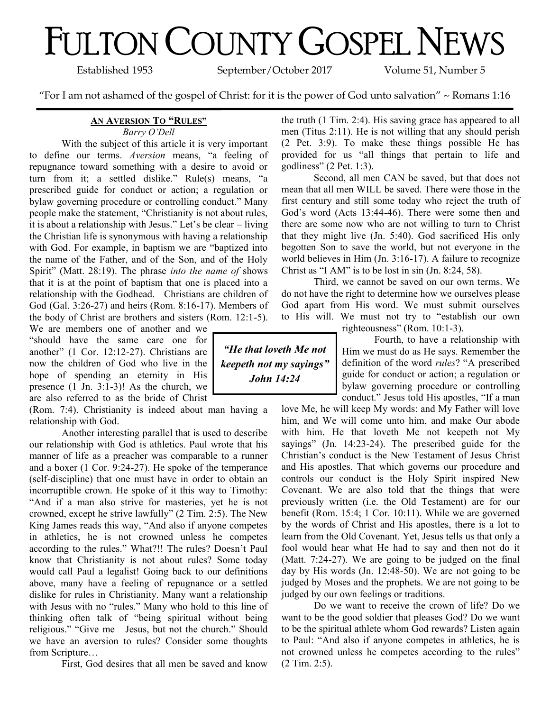# FULTON COUNTY GOSPEL NEWS

Established 1953 September/October 2017 Volume 51, Number 5

"For I am not ashamed of the gospel of Christ: for it is the power of God unto salvation" ~ Romans 1:16

### **AN AVERSION TO "RULES"**

#### *Barry O'Dell*

With the subject of this article it is very important to define our terms. *Aversion* means, "a feeling of repugnance toward something with a desire to avoid or turn from it; a settled dislike." Rule(s) means, "a prescribed guide for conduct or action; a regulation or bylaw governing procedure or controlling conduct." Many people make the statement, "Christianity is not about rules, it is about a relationship with Jesus." Let's be clear – living the Christian life is synonymous with having a relationship with God. For example, in baptism we are "baptized into the name of the Father, and of the Son, and of the Holy Spirit" (Matt. 28:19). The phrase *into the name of* shows that it is at the point of baptism that one is placed into a relationship with the Godhead. Christians are children of God (Gal. 3:26-27) and heirs (Rom. 8:16-17). Members of the body of Christ are brothers and sisters (Rom. 12:1-5).

We are members one of another and we "should have the same care one for another" (1 Cor. 12:12-27). Christians are now the children of God who live in the hope of spending an eternity in His presence (1 Jn. 3:1-3)! As the church, we are also referred to as the bride of Christ

(Rom. 7:4). Christianity is indeed about man having a relationship with God.

Another interesting parallel that is used to describe our relationship with God is athletics. Paul wrote that his manner of life as a preacher was comparable to a runner and a boxer (1 Cor. 9:24-27). He spoke of the temperance (self-discipline) that one must have in order to obtain an incorruptible crown. He spoke of it this way to Timothy: "And if a man also strive for masteries, yet he is not crowned, except he strive lawfully" (2 Tim. 2:5). The New King James reads this way, "And also if anyone competes in athletics, he is not crowned unless he competes according to the rules." What?!! The rules? Doesn't Paul know that Christianity is not about rules? Some today would call Paul a legalist! Going back to our definitions above, many have a feeling of repugnance or a settled dislike for rules in Christianity. Many want a relationship with Jesus with no "rules." Many who hold to this line of thinking often talk of "being spiritual without being religious." "Give me Jesus, but not the church." Should we have an aversion to rules? Consider some thoughts from Scripture…

First, God desires that all men be saved and know

the truth (1 Tim. 2:4). His saving grace has appeared to all men (Titus 2:11). He is not willing that any should perish (2 Pet. 3:9). To make these things possible He has provided for us "all things that pertain to life and godliness" (2 Pet. 1:3).

Second, all men CAN be saved, but that does not mean that all men WILL be saved. There were those in the first century and still some today who reject the truth of God's word (Acts 13:44-46). There were some then and there are some now who are not willing to turn to Christ that they might live (Jn. 5:40). God sacrificed His only begotten Son to save the world, but not everyone in the world believes in Him (Jn. 3:16-17). A failure to recognize Christ as "I AM" is to be lost in sin (Jn. 8:24, 58).

Third, we cannot be saved on our own terms. We do not have the right to determine how we ourselves please God apart from His word. We must submit ourselves to His will. We must not try to "establish our own

righteousness" (Rom. 10:1-3).

Fourth, to have a relationship with Him we must do as He says. Remember the definition of the word *rules*? "A prescribed guide for conduct or action; a regulation or bylaw governing procedure or controlling conduct." Jesus told His apostles, "If a man

love Me, he will keep My words: and My Father will love him, and We will come unto him, and make Our abode with him. He that loveth Me not keepeth not My sayings" (Jn. 14:23-24). The prescribed guide for the Christian's conduct is the New Testament of Jesus Christ and His apostles. That which governs our procedure and controls our conduct is the Holy Spirit inspired New Covenant. We are also told that the things that were previously written (i.e. the Old Testament) are for our benefit (Rom. 15:4; 1 Cor. 10:11). While we are governed by the words of Christ and His apostles, there is a lot to learn from the Old Covenant. Yet, Jesus tells us that only a fool would hear what He had to say and then not do it (Matt. 7:24-27). We are going to be judged on the final day by His words (Jn. 12:48-50). We are not going to be judged by Moses and the prophets. We are not going to be judged by our own feelings or traditions.

Do we want to receive the crown of life? Do we want to be the good soldier that pleases God? Do we want to be the spiritual athlete whom God rewards? Listen again to Paul: "And also if anyone competes in athletics, he is not crowned unless he competes according to the rules" (2 Tim. 2:5).

*"He that loveth Me not keepeth not my sayings" John 14:24*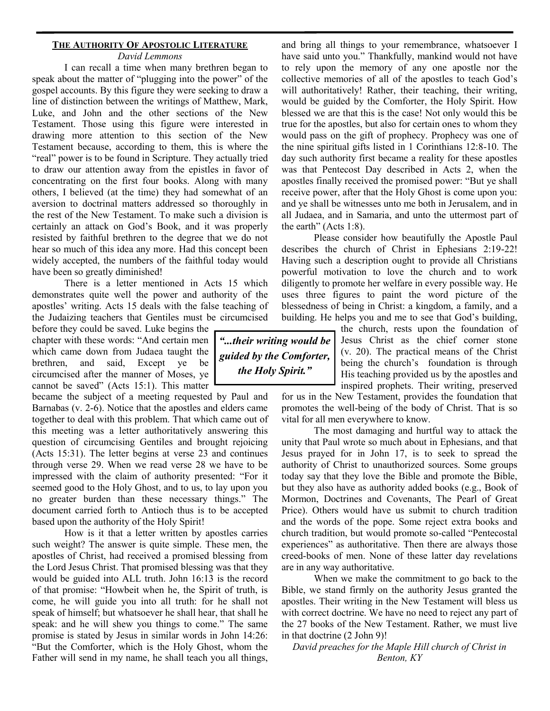# **THE AUTHORITY OF APOSTOLIC LITERATURE**

*David Lemmons*

I can recall a time when many brethren began to speak about the matter of "plugging into the power" of the gospel accounts. By this figure they were seeking to draw a line of distinction between the writings of Matthew, Mark, Luke, and John and the other sections of the New Testament. Those using this figure were interested in drawing more attention to this section of the New Testament because, according to them, this is where the "real" power is to be found in Scripture. They actually tried to draw our attention away from the epistles in favor of concentrating on the first four books. Along with many others, I believed (at the time) they had somewhat of an aversion to doctrinal matters addressed so thoroughly in the rest of the New Testament. To make such a division is certainly an attack on God's Book, and it was properly resisted by faithful brethren to the degree that we do not hear so much of this idea any more. Had this concept been widely accepted, the numbers of the faithful today would have been so greatly diminished!

There is a letter mentioned in Acts 15 which demonstrates quite well the power and authority of the apostles' writing. Acts 15 deals with the false teaching of the Judaizing teachers that Gentiles must be circumcised

before they could be saved. Luke begins the chapter with these words: "And certain men which came down from Judaea taught the brethren, and said, Except ye be circumcised after the manner of Moses, ye cannot be saved" (Acts 15:1). This matter

became the subject of a meeting requested by Paul and Barnabas (v. 2-6). Notice that the apostles and elders came together to deal with this problem. That which came out of this meeting was a letter authoritatively answering this question of circumcising Gentiles and brought rejoicing (Acts 15:31). The letter begins at verse 23 and continues through verse 29. When we read verse 28 we have to be impressed with the claim of authority presented: "For it seemed good to the Holy Ghost, and to us, to lay upon you no greater burden than these necessary things." The document carried forth to Antioch thus is to be accepted based upon the authority of the Holy Spirit!

How is it that a letter written by apostles carries such weight? The answer is quite simple. These men, the apostles of Christ, had received a promised blessing from the Lord Jesus Christ. That promised blessing was that they would be guided into ALL truth. John 16:13 is the record of that promise: "Howbeit when he, the Spirit of truth, is come, he will guide you into all truth: for he shall not speak of himself; but whatsoever he shall hear, that shall he speak: and he will shew you things to come." The same promise is stated by Jesus in similar words in John 14:26: "But the Comforter, which is the Holy Ghost, whom the Father will send in my name, he shall teach you all things, and bring all things to your remembrance, whatsoever I have said unto you." Thankfully, mankind would not have to rely upon the memory of any one apostle nor the collective memories of all of the apostles to teach God's will authoritatively! Rather, their teaching, their writing, would be guided by the Comforter, the Holy Spirit. How blessed we are that this is the case! Not only would this be true for the apostles, but also for certain ones to whom they would pass on the gift of prophecy. Prophecy was one of the nine spiritual gifts listed in 1 Corinthians 12:8-10. The day such authority first became a reality for these apostles was that Pentecost Day described in Acts 2, when the apostles finally received the promised power: "But ye shall receive power, after that the Holy Ghost is come upon you: and ye shall be witnesses unto me both in Jerusalem, and in all Judaea, and in Samaria, and unto the uttermost part of the earth" (Acts 1:8).

Please consider how beautifully the Apostle Paul describes the church of Christ in Ephesians 2:19-22! Having such a description ought to provide all Christians powerful motivation to love the church and to work diligently to promote her welfare in every possible way. He uses three figures to paint the word picture of the blessedness of being in Christ: a kingdom, a family, and a building. He helps you and me to see that God's building,

> the church, rests upon the foundation of Jesus Christ as the chief corner stone (v. 20). The practical means of the Christ being the church's foundation is through His teaching provided us by the apostles and inspired prophets. Their writing, preserved

for us in the New Testament, provides the foundation that promotes the well-being of the body of Christ. That is so vital for all men everywhere to know.

The most damaging and hurtful way to attack the unity that Paul wrote so much about in Ephesians, and that Jesus prayed for in John 17, is to seek to spread the authority of Christ to unauthorized sources. Some groups today say that they love the Bible and promote the Bible, but they also have as authority added books (e.g., Book of Mormon, Doctrines and Covenants, The Pearl of Great Price). Others would have us submit to church tradition and the words of the pope. Some reject extra books and church tradition, but would promote so-called "Pentecostal experiences" as authoritative. Then there are always those creed-books of men. None of these latter day revelations are in any way authoritative.

When we make the commitment to go back to the Bible, we stand firmly on the authority Jesus granted the apostles. Their writing in the New Testament will bless us with correct doctrine. We have no need to reject any part of the 27 books of the New Testament. Rather, we must live in that doctrine (2 John 9)!

*David preaches for the Maple Hill church of Christ in Benton, KY*

*"...their writing would be guided by the Comforter, the Holy Spirit."*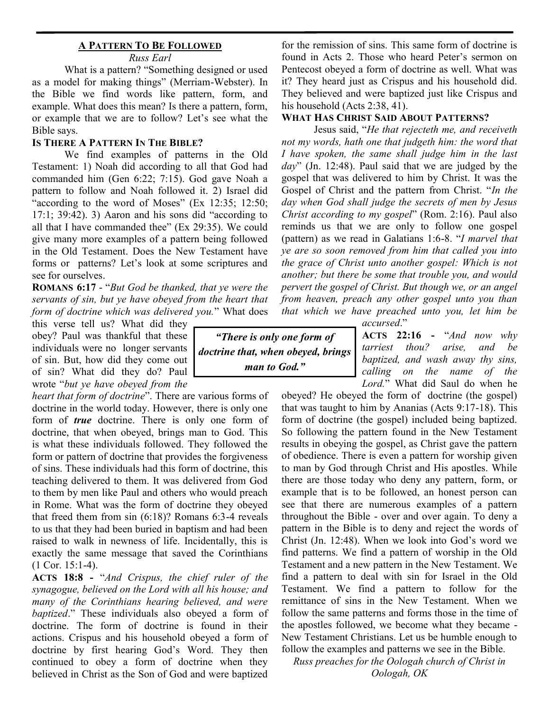# **A PATTERN TO BE FOLLOWED**

*Russ Earl*

What is a pattern? "Something designed or used as a model for making things" (Merriam-Webster). In the Bible we find words like pattern, form, and example. What does this mean? Is there a pattern, form, or example that we are to follow? Let's see what the Bible says.

### **IS THERE A PATTERN IN THE BIBLE?**

We find examples of patterns in the Old Testament: 1) Noah did according to all that God had commanded him (Gen 6:22; 7:15). God gave Noah a pattern to follow and Noah followed it. 2) Israel did "according to the word of Moses"  $(Ex\ 12:35; \ 12:50;$  $17:1$ ;  $39:42$ ). 3) Aaron and his sons did "according to all that I have commanded thee" (Ex 29:35). We could give many more examples of a pattern being followed in the Old Testament. Does the New Testament have forms or patterns? Let's look at some scriptures and see for ourselves.

**ROMANS 6:17** - "*But God be thanked, that ye were the servants of sin, but ye have obeyed from the heart that form of doctrine which was delivered you.*" What does

this verse tell us? What did they obey? Paul was thankful that these individuals were no longer servants of sin. But, how did they come out of sin? What did they do? Paul wrote "*but ye have obeyed from the* 

*heart that form of doctrine*". There are various forms of doctrine in the world today. However, there is only one form of *true* doctrine. There is only one form of doctrine, that when obeyed, brings man to God. This is what these individuals followed. They followed the form or pattern of doctrine that provides the forgiveness of sins. These individuals had this form of doctrine, this teaching delivered to them. It was delivered from God to them by men like Paul and others who would preach in Rome. What was the form of doctrine they obeyed that freed them from sin (6:18)? Romans 6:3-4 reveals to us that they had been buried in baptism and had been raised to walk in newness of life. Incidentally, this is exactly the same message that saved the Corinthians (1 Cor. 15:1-4).

**ACTS 18:8 -** "*And Crispus, the chief ruler of the synagogue, believed on the Lord with all his house; and many of the Corinthians hearing believed, and were baptized*." These individuals also obeyed a form of doctrine. The form of doctrine is found in their actions. Crispus and his household obeyed a form of doctrine by first hearing God's Word. They then continued to obey a form of doctrine when they believed in Christ as the Son of God and were baptized

*"There is only one form of doctrine that, when obeyed, brings man to God."*

for the remission of sins. This same form of doctrine is found in Acts 2. Those who heard Peter's sermon on Pentecost obeyed a form of doctrine as well. What was it? They heard just as Crispus and his household did. They believed and were baptized just like Crispus and his household (Acts 2:38, 41).

#### **WHAT HAS CHRIST SAID ABOUT PATTERNS?**

Jesus said, "*He that rejecteth me, and receiveth not my words, hath one that judgeth him: the word that I have spoken, the same shall judge him in the last day*" (Jn. 12:48). Paul said that we are judged by the gospel that was delivered to him by Christ. It was the Gospel of Christ and the pattern from Christ. "*In the day when God shall judge the secrets of men by Jesus Christ according to my gospel*" (Rom. 2:16). Paul also reminds us that we are only to follow one gospel (pattern) as we read in Galatians 1:6-8. "*I marvel that ye are so soon removed from him that called you into the grace of Christ unto another gospel: Which is not another; but there be some that trouble you, and would pervert the gospel of Christ. But though we, or an angel from heaven, preach any other gospel unto you than that which we have preached unto you, let him be* 

*accursed*."

**ACTS 22:16 -** "*And now why tarriest thou? arise, and be baptized, and wash away thy sins, calling on the name of the Lord.*" What did Saul do when he

obeyed? He obeyed the form of doctrine (the gospel) that was taught to him by Ananias (Acts 9:17-18). This form of doctrine (the gospel) included being baptized. So following the pattern found in the New Testament results in obeying the gospel, as Christ gave the pattern of obedience. There is even a pattern for worship given to man by God through Christ and His apostles. While there are those today who deny any pattern, form, or example that is to be followed, an honest person can see that there are numerous examples of a pattern throughout the Bible - over and over again. To deny a pattern in the Bible is to deny and reject the words of Christ (Jn. 12:48). When we look into God's word we find patterns. We find a pattern of worship in the Old Testament and a new pattern in the New Testament. We find a pattern to deal with sin for Israel in the Old Testament. We find a pattern to follow for the remittance of sins in the New Testament. When we follow the same patterns and forms those in the time of the apostles followed, we become what they became - New Testament Christians. Let us be humble enough to follow the examples and patterns we see in the Bible.

*Russ preaches for the Oologah church of Christ in Oologah, OK*